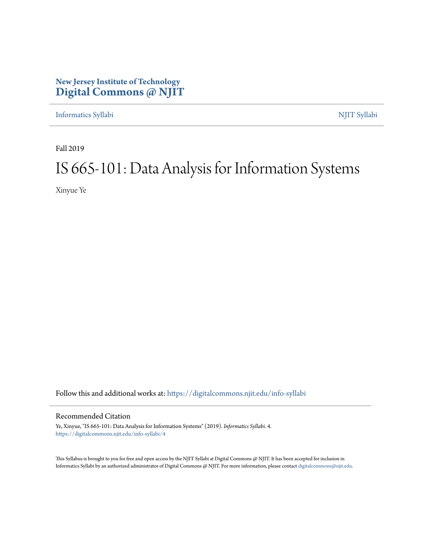# **New Jersey Institute of Technology [Digital Commons @ NJIT](https://digitalcommons.njit.edu/?utm_source=digitalcommons.njit.edu%2Finfo-syllabi%2F4&utm_medium=PDF&utm_campaign=PDFCoverPages)**

[Informatics Syllabi](https://digitalcommons.njit.edu/info-syllabi?utm_source=digitalcommons.njit.edu%2Finfo-syllabi%2F4&utm_medium=PDF&utm_campaign=PDFCoverPages) [NJIT Syllabi](https://digitalcommons.njit.edu/syllabi?utm_source=digitalcommons.njit.edu%2Finfo-syllabi%2F4&utm_medium=PDF&utm_campaign=PDFCoverPages)

Fall 2019

# IS 665-101: Data Analysis for Information Systems

Xinyue Ye

Follow this and additional works at: [https://digitalcommons.njit.edu/info-syllabi](https://digitalcommons.njit.edu/info-syllabi?utm_source=digitalcommons.njit.edu%2Finfo-syllabi%2F4&utm_medium=PDF&utm_campaign=PDFCoverPages)

#### Recommended Citation

Ye, Xinyue, "IS 665-101: Data Analysis for Information Systems" (2019). *Informatics Syllabi*. 4. [https://digitalcommons.njit.edu/info-syllabi/4](https://digitalcommons.njit.edu/info-syllabi/4?utm_source=digitalcommons.njit.edu%2Finfo-syllabi%2F4&utm_medium=PDF&utm_campaign=PDFCoverPages)

This Syllabus is brought to you for free and open access by the NJIT Syllabi at Digital Commons @ NJIT. It has been accepted for inclusion in Informatics Syllabi by an authorized administrator of Digital Commons @ NJIT. For more information, please contact [digitalcommons@njit.edu.](mailto:digitalcommons@njit.edu)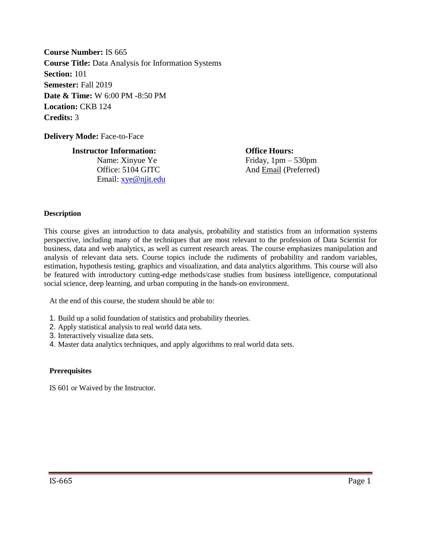**Course Number:** IS 665 **Course Title:** Data Analysis for Information Systems **Section:** 101 **Semester:** Fall 2019 **Date & Time:** W 6:00 PM -8:50 PM **Location:** CKB 124 **Credits:** 3

**Delivery Mode:** Face-to-Face

**Instructor Information:**

Name: Xinyue Ye Office: 5104 GITC Email: [xye@njit.edu](mailto:xye@njit.edu) **Office Hours:** Friday, 1pm – 530pm And Email (Preferred)

#### **Description**

This course gives an introduction to data analysis, probability and statistics from an information systems perspective, including many of the techniques that are most relevant to the profession of Data Scientist for business, data and web analytics, as well as current research areas. The course emphasizes manipulation and analysis of relevant data sets. Course topics include the rudiments of probability and random variables, estimation, hypothesis testing, graphics and visualization, and data analytics algorithms. This course will also be featured with introductory cutting-edge methods/case studies from business intelligence, computational social science, deep learning, and urban computing in the hands-on environment.

At the end of this course, the student should be able to:

- 1. Build up a solid foundation of statistics and probability theories.
- 2. Apply statistical analysis to real world data sets.
- 3. Interactively visualize data sets.
- 4. Master data analytics techniques, and apply algorithms to real world data sets.

#### **Prerequisites**

IS 601 or Waived by the Instructor.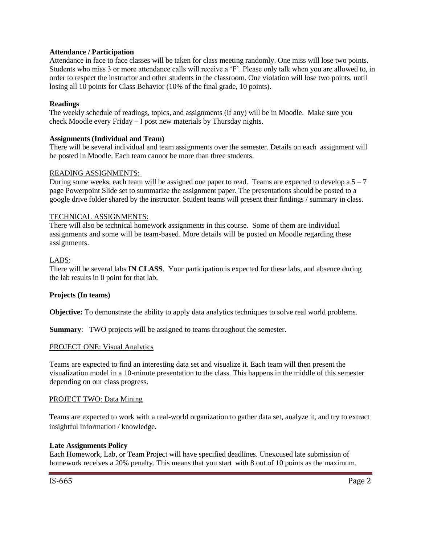#### **Attendance / Participation**

Attendance in face to face classes will be taken for class meeting randomly. One miss will lose two points. Students who miss 3 or more attendance calls will receive a 'F'. Please only talk when you are allowed to, in order to respect the instructor and other students in the classroom. One violation will lose two points, until losing all 10 points for Class Behavior (10% of the final grade, 10 points).

#### **Readings**

The weekly schedule of readings, topics, and assignments (if any) will be in Moodle. Make sure you check Moodle every Friday – I post new materials by Thursday nights.

#### **Assignments (Individual and Team)**

There will be several individual and team assignments over the semester. Details on each assignment will be posted in Moodle. Each team cannot be more than three students.

#### READING ASSIGNMENTS:

During some weeks, each team will be assigned one paper to read. Teams are expected to develop a  $5 - 7$ page Powerpoint Slide set to summarize the assignment paper. The presentations should be posted to a google drive folder shared by the instructor. Student teams will present their findings / summary in class.

#### TECHNICAL ASSIGNMENTS:

There will also be technical homework assignments in this course. Some of them are individual assignments and some will be team-based. More details will be posted on Moodle regarding these assignments.

#### LABS:

There will be several labs **IN CLASS**. Your participation is expected for these labs, and absence during the lab results in 0 point for that lab.

## **Projects (In teams)**

**Objective:** To demonstrate the ability to apply data analytics techniques to solve real world problems.

**Summary:** TWO projects will be assigned to teams throughout the semester.

#### PROJECT ONE: Visual Analytics

Teams are expected to find an interesting data set and visualize it. Each team will then present the visualization model in a 10-minute presentation to the class. This happens in the middle of this semester depending on our class progress.

#### PROJECT TWO: Data Mining

Teams are expected to work with a real-world organization to gather data set, analyze it, and try to extract insightful information / knowledge.

#### **Late Assignments Policy**

Each Homework, Lab, or Team Project will have specified deadlines. Unexcused late submission of homework receives a 20% penalty. This means that you start with 8 out of 10 points as the maximum.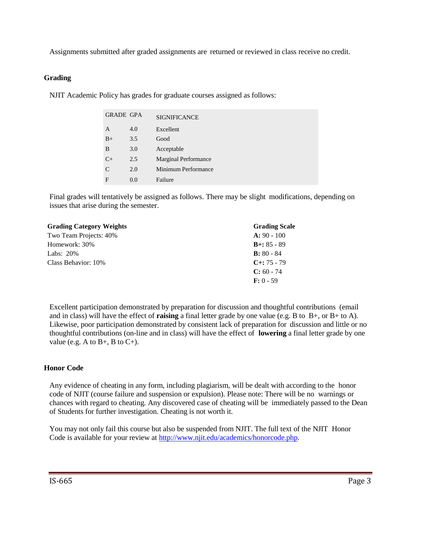Assignments submitted after graded assignments are returned or reviewed in class receive no credit.

## **Grading**

NJIT Academic Policy has grades for graduate courses assigned as follows:

| <b>GRADE GPA</b> |     | <b>SIGNIFICANCE</b>         |
|------------------|-----|-----------------------------|
| A                | 4.0 | Excellent                   |
| $B+$             | 3.5 | Good                        |
| B                | 3.0 | Acceptable                  |
| $C+$             | 2.5 | <b>Marginal Performance</b> |
| $\mathcal{C}$    | 2.0 | Minimum Performance         |
| F                | 0.0 | Failure                     |

Final grades will tentatively be assigned as follows. There may be slight modifications, depending on issues that arise during the semester.

| <b>Grading Category Weights</b> | <b>Grading Scale</b> |
|---------------------------------|----------------------|
| Two Team Projects: 40%          | $A: 90 - 100$        |
| Homework: 30%                   | $B + : 85 - 89$      |
| Labs: 20%                       | $B: 80 - 84$         |
| Class Behavior: 10%             | $C_{+}$ : 75 - 79    |
|                                 | $C: 60 - 74$         |
|                                 | $F: 0 - 59$          |

Excellent participation demonstrated by preparation for discussion and thoughtful contributions (email and in class) will have the effect of **raising** a final letter grade by one value (e.g. B to B+, or B+ to A). Likewise, poor participation demonstrated by consistent lack of preparation for discussion and little or no thoughtful contributions (on-line and in class) will have the effect of **lowering** a final letter grade by one value (e.g. A to  $B<sub>+</sub>$ , B to  $C<sub>+</sub>$ ).

## **Honor Code**

Any evidence of cheating in any form, including plagiarism, will be dealt with according to the honor code of NJIT (course failure and suspension or expulsion). Please note: There will be no warnings or chances with regard to cheating. Any discovered case of cheating will be immediately passed to the Dean of Students for further investigation. Cheating is not worth it.

You may not only fail this course but also be suspended from NJIT. The full text of the NJIT Honor Code is available for your review at [http://www.njit.edu/academics/honorcode.php.](http://www.njit.edu/academics/honorcode.php)